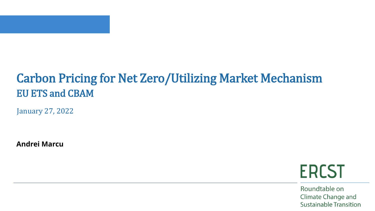

### Carbon Pricing for Net Zero/Utilizing Market Mechanism EU ETS and CBAM

January 27, 2022

**Andrei Marcu**

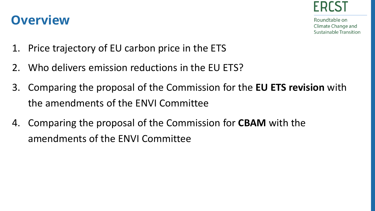

- **Overview**
- 1. Price trajectory of EU carbon price in the ETS
- 2. Who delivers emission reductions in the EU ETS?
- 3. Comparing the proposal of the Commission for the **EU ETS revision** with the amendments of the ENVI Committee
- 4. Comparing the proposal of the Commission for **CBAM** with the amendments of the ENVI Committee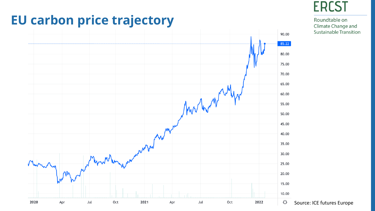

#### **EU carbon price trajectory**

**ERCST**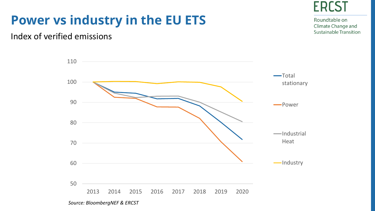

Roundtable on Climate Change and **Sustainable Transition** 

## **Power vs industry in the EU ETS**

#### Index of verified emissions



*Source: BloombergNEF & ERCST*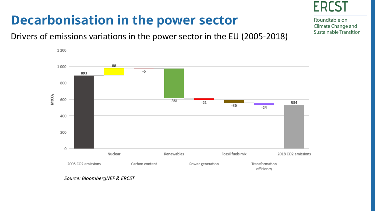# **Decarbonisation in the power sector**



Roundtable on Climate Change and **Sustainable Transition** 

#### Drivers of emissions variations in the power sector in the EU (2005-2018)



*Source: BloombergNEF & ERCST*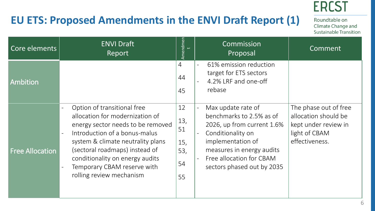#### **EU ETS: Proposed Amendments in the ENVI Draft Report (1)**

Roundtable on Climate Change and Sustainable Transition

**ERCST** 

| Core elements          | <b>ENVI Draft</b><br>Report                                                                                                                                                                                                                                                                                         | Amendmen                                  | Commission<br>Proposal                                                                                                                                                                                        | Comment                                                                                                  |
|------------------------|---------------------------------------------------------------------------------------------------------------------------------------------------------------------------------------------------------------------------------------------------------------------------------------------------------------------|-------------------------------------------|---------------------------------------------------------------------------------------------------------------------------------------------------------------------------------------------------------------|----------------------------------------------------------------------------------------------------------|
| <b>Ambition</b>        |                                                                                                                                                                                                                                                                                                                     | $\overline{4}$<br>44<br>45                | 61% emission reduction<br>$\equiv$<br>target for ETS sectors<br>4.2% LRF and one-off<br>rebase                                                                                                                |                                                                                                          |
| <b>Free Allocation</b> | Option of transitional free<br>allocation for modernization of<br>energy sector needs to be removed<br>Introduction of a bonus-malus<br>$\sim$<br>system & climate neutrality plans<br>(sectoral roadmaps) instead of<br>conditionality on energy audits<br>Temporary CBAM reserve with<br>rolling review mechanism | 12<br>13,<br>51<br>15,<br>53,<br>54<br>55 | Max update rate of<br>benchmarks to 2.5% as of<br>2026, up from current 1.6%<br>Conditionality on<br>implementation of<br>measures in energy audits<br>Free allocation for CBAM<br>sectors phased out by 2035 | The phase out of free<br>allocation should be<br>kept under review in<br>light of CBAM<br>effectiveness. |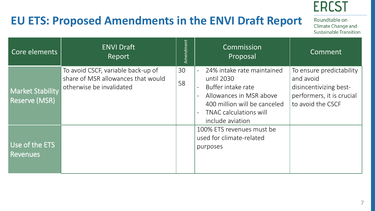## **EU ETS: Proposed Amendments in the ENVI Draft Report**

| Core elements                                   | <b>ENVI Draft</b><br>Report                                                                          | Amendment | Commission<br>Proposal                                                                                                                                                         | Comment                                                                                                           |
|-------------------------------------------------|------------------------------------------------------------------------------------------------------|-----------|--------------------------------------------------------------------------------------------------------------------------------------------------------------------------------|-------------------------------------------------------------------------------------------------------------------|
| <b>Market Stability</b><br><b>Reserve (MSR)</b> | To avoid CSCF, variable back-up of<br>share of MSR allowances that would<br>otherwise be invalidated | 30<br>58  | 24% intake rate maintained<br>until 2030<br>Buffer intake rate<br>Allowances in MSR above<br>400 million will be canceled<br><b>TNAC calculations will</b><br>include aviation | To ensure predictability<br>and avoid<br>disincentivizing best-<br>performers, it is crucial<br>to avoid the CSCF |
| Use of the ETS<br>Revenues                      |                                                                                                      |           | 100% ETS revenues must be<br>used for climate-related<br>purposes                                                                                                              |                                                                                                                   |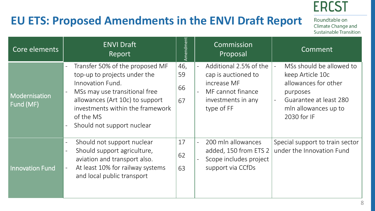### **EU ETS: Proposed Amendments in the ENVI Draft Report**

| Core elements              | <b>ENVI Draft</b><br>Report                                                                                                                                                                                                            | Amendment             | Commission<br>Proposal                                                                                                | Comment                                                                                                                                           |
|----------------------------|----------------------------------------------------------------------------------------------------------------------------------------------------------------------------------------------------------------------------------------|-----------------------|-----------------------------------------------------------------------------------------------------------------------|---------------------------------------------------------------------------------------------------------------------------------------------------|
| Modernisation<br>Fund (MF) | Transfer 50% of the proposed MF<br>top-up to projects under the<br>Innovation Fund.<br>MSs may use transitional free<br>allowances (Art 10c) to support<br>investments within the framework<br>of the MS<br>Should not support nuclear | 46,<br>59<br>66<br>67 | Additional 2.5% of the<br>cap is auctioned to<br>increase MF<br>MF cannot finance<br>investments in any<br>type of FF | MSs should be allowed to<br>keep Article 10c<br>allowances for other<br>purposes<br>Guarantee at least 280<br>mln allowances up to<br>2030 for IF |
| <b>Innovation Fund</b>     | Should not support nuclear<br>Should support agriculture,<br>$\qquad \qquad -$<br>aviation and transport also.<br>At least 10% for railway systems<br>$\equiv$<br>and local public transport                                           | 17<br>62<br>63        | 200 mln allowances<br>$\blacksquare$<br>added, 150 from ETS 2<br>Scope includes project<br>support via CCfDs          | Special support to train sector<br>under the Innovation Fund                                                                                      |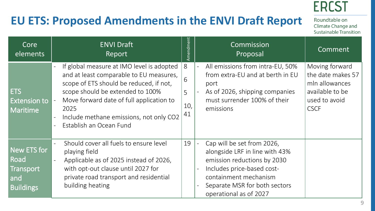## **EU ETS: Proposed Amendments in the ENVI Draft Report**

| Core<br>elements                                            | <b>ENVI Draft</b><br>Report                                                                                                                                                                                                                                                                   | Amendment                | Commission<br>Proposal                                                                                                                                                                                        | Comment                                                                                                  |
|-------------------------------------------------------------|-----------------------------------------------------------------------------------------------------------------------------------------------------------------------------------------------------------------------------------------------------------------------------------------------|--------------------------|---------------------------------------------------------------------------------------------------------------------------------------------------------------------------------------------------------------|----------------------------------------------------------------------------------------------------------|
| <b>ETS</b><br><b>Extension to</b><br>Maritime               | If global measure at IMO level is adopted<br>and at least comparable to EU measures,<br>scope of ETS should be reduced, if not,<br>scope should be extended to 100%<br>Move forward date of full application to<br>2025<br>Include methane emissions, not only CO2<br>Establish an Ocean Fund | 8<br>6<br>5<br>10,<br>41 | All emissions from intra-EU, 50%<br>from extra-EU and at berth in EU<br>port<br>As of 2026, shipping companies<br>must surrender 100% of their<br>emissions                                                   | Moving forward<br>the date makes 57<br>mln allowances<br>available to be<br>used to avoid<br><b>CSCF</b> |
| New ETS for<br>Road<br>Transport<br>and<br><b>Buildings</b> | Should cover all fuels to ensure level<br>playing field<br>Applicable as of 2025 instead of 2026,<br>with opt-out clause until 2027 for<br>private road transport and residential<br>building heating                                                                                         | 19                       | Cap will be set from 2026,<br>alongside LRF in line with 43%<br>emission reductions by 2030<br>Includes price-based cost-<br>containment mechanism<br>Separate MSR for both sectors<br>operational as of 2027 |                                                                                                          |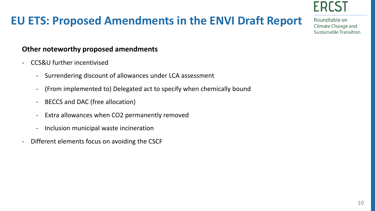

#### **EU ETS: Proposed Amendments in the ENVI Draft Report**

Roundtable on **Climate Change and Sustainable Transition** 

#### **Other noteworthy proposed amendments**

- CCS&U further incentivised
	- Surrendering discount of allowances under LCA assessment
	- (From implemented to) Delegated act to specify when chemically bound
	- BECCS and DAC (free allocation)
	- Extra allowances when CO2 permanently removed
	- Inclusion municipal waste incineration
- Different elements focus on avoiding the CSCF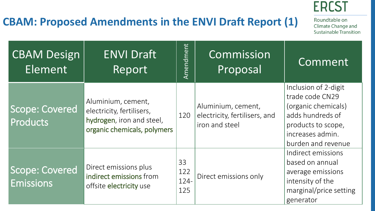#### **CBAM: Proposed Amendments in the ENVI Draft Report (1)**

| <b>CBAM Design</b><br>Element             | <b>ENVI Draft</b><br>Report                                                                                 | Amendment                | Commission<br>Proposal                                                | Comment                                                                                                                                            |
|-------------------------------------------|-------------------------------------------------------------------------------------------------------------|--------------------------|-----------------------------------------------------------------------|----------------------------------------------------------------------------------------------------------------------------------------------------|
| <b>Scope: Covered</b><br><b>Products</b>  | Aluminium, cement,<br>electricity, fertilisers,<br>hydrogen, iron and steel,<br>organic chemicals, polymers | 120                      | Aluminium, cement,<br>electricity, fertilisers, and<br>iron and steel | Inclusion of 2-digit<br>trade code CN29<br>(organic chemicals)<br>adds hundreds of<br>products to scope,<br>increases admin.<br>burden and revenue |
| <b>Scope: Covered</b><br><b>Emissions</b> | Direct emissions plus<br>indirect emissions from<br>offsite electricity use                                 | 33<br>122<br>124-<br>125 | Direct emissions only                                                 | Indirect emissions<br>based on annual<br>average emissions<br>intensity of the<br>marginal/price setting<br>generator                              |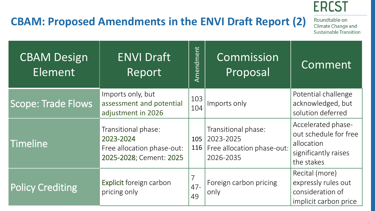

## **CBAM: Proposed Amendments in the ENVI Draft Report (2)**

| <b>CBAM Design</b><br>Element | <b>ENVI Draft</b><br>Report                                                               | Amendment    | Commission<br>Proposal                                                      | Comment                                                                                         |
|-------------------------------|-------------------------------------------------------------------------------------------|--------------|-----------------------------------------------------------------------------|-------------------------------------------------------------------------------------------------|
| <b>Scope: Trade Flows</b>     | Imports only, but<br>assessment and potential<br>adjustment in 2026                       | 103<br>104   | Imports only                                                                | Potential challenge<br>acknowledged, but<br>solution deferred                                   |
| Timeline                      | Transitional phase:<br>2023-2024<br>Free allocation phase-out:<br>2025-2028; Cement: 2025 | 105<br>116   | Transitional phase:<br>2023-2025<br>Free allocation phase-out:<br>2026-2035 | Accelerated phase-<br>out schedule for free<br>allocation<br>significantly raises<br>the stakes |
| <b>Policy Crediting</b>       | Explicit foreign carbon<br>pricing only                                                   | $47 -$<br>49 | Foreign carbon pricing<br>only                                              | Recital (more)<br>expressly rules out<br>consideration of<br>implicit carbon price              |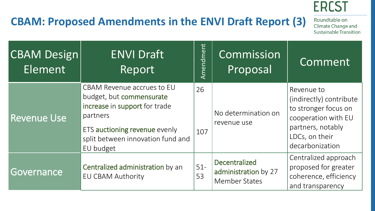## **CBAM: Proposed Amendments in the ENVI Draft Report (3)**

| <b>CBAM Design</b><br>Element | <b>ENVI Draft</b><br>Report                                                                                                                                                                   | Amendment    | Commission<br>Proposal                                               | Comment                                                                                                                                        |
|-------------------------------|-----------------------------------------------------------------------------------------------------------------------------------------------------------------------------------------------|--------------|----------------------------------------------------------------------|------------------------------------------------------------------------------------------------------------------------------------------------|
| <b>Revenue Use</b>            | <b>CBAM Revenue accrues to EU</b><br>budget, but commensurate<br>increase in support for trade<br>partners<br>ETS auctioning revenue evenly<br>split between innovation fund and<br>EU budget | 26<br>107    | No determination on<br>revenue use                                   | Revenue to<br>(indirectly) contribute<br>to stronger focus on<br>cooperation with EU<br>partners, notably<br>LDCs, on their<br>decarbonization |
| Governance                    | Centralized administration by an<br><b>EU CBAM Authority</b>                                                                                                                                  | $51 -$<br>53 | <b>Decentralized</b><br>administration by 27<br><b>Member States</b> | Centralized approach<br>proposed for greater<br>coherence, efficiency<br>and transparency                                                      |